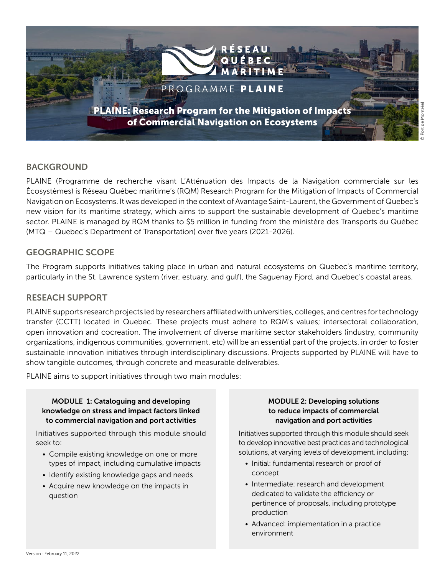

### BACKGROUND

PLAINE (Programme de recherche visant L'Atténuation des Impacts de la Navigation commerciale sur les Écosystèmes) is Réseau Québec maritime's (RQM) Research Program for the Mitigation of Impacts of Commercial Navigation on Ecosystems. It was developed in the context of Avantage Saint-Laurent, the Government of Quebec's new vision for its maritime strategy, which aims to support the sustainable development of Quebec's maritime sector. PLAINE is managed by RQM thanks to \$5 million in funding from the ministère des Transports du Québec (MTQ – Quebec's Department of Transportation) over five years (2021-2026).

#### GEOGRAPHIC SCOPE

The Program supports initiatives taking place in urban and natural ecosystems on Quebec's maritime territory, particularly in the St. Lawrence system (river, estuary, and gulf), the Saguenay Fjord, and Quebec's coastal areas.

#### RESEACH SUPPORT

PLAINE supports research projects led by researchers affiliated with universities, colleges, and centres for technology transfer (CCTT) located in Quebec. These projects must adhere to RQM's values; intersectoral collaboration, open innovation and cocreation. The involvement of diverse maritime sector stakeholders (industry, community organizations, indigenous communities, government, etc) will be an essential part of the projects, in order to foster sustainable innovation initiatives through interdisciplinary discussions. Projects supported by PLAINE will have to show tangible outcomes, through concrete and measurable deliverables.

PLAINE aims to support initiatives through two main modules:

#### MODULE 1: Cataloguing and developing knowledge on stress and impact factors linked to commercial navigation and port activities

Initiatives supported through this module should seek to:

- Compile existing knowledge on one or more types of impact, including cumulative impacts
- Identify existing knowledge gaps and needs
- Acquire new knowledge on the impacts in question

#### MODULE 2: Developing solutions to reduce impacts of commercial navigation and port activities

Initiatives supported through this module should seek to develop innovative best practices and technological solutions, at varying levels of development, including:

- Initial: fundamental research or proof of concept
- Intermediate: research and development dedicated to validate the efficiency or pertinence of proposals, including prototype production
- Advanced: implementation in a practice environment